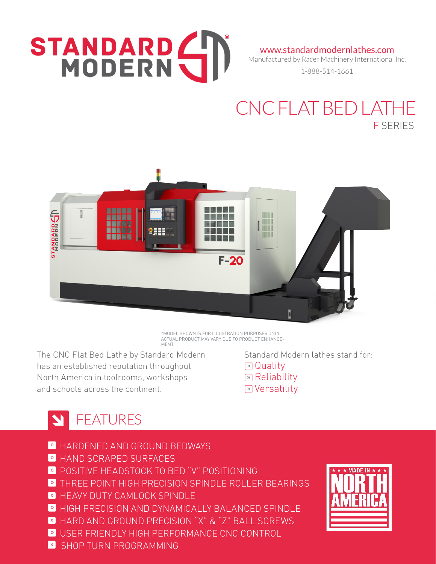# STANDARD (

www.standardmodernlathes.com

Manufactured by Racer Machinery International Inc.

1-888-514-1661

## CNC FLAT BED LATHE F SERIES



\*MODEL SHOWN IS FOR ILLUSTRATION PURPOSES ONLY. ACTUAL PRODUCT MAY VARY DUE TO PRODUCT ENHANCE-MENT.

The CNC Flat Bed Lathe by Standard Modern has an established reputation throughout North America in toolrooms, workshops and schools across the continent.

 Standard Modern lathes stand for: **»** Quality **»** Reliability **»** Versatility

# STREATURES

- » HARDENED AND GROUND BEDWAYS
- » HAND SCRAPED SURFACES
- » POSITIVE HEADSTOCK TO BED "V" POSITIONING
- **»** THREE POINT HIGH PRECISION SPINDLE ROLLER BEARINGS
- **HEAVY DUTY CAMLOCK SPINDLE**
- » HIGH PRECISION AND DYNAMICALLY BALANCED SPINDLE
- » HARD AND GROUND PRECISION "X" & "Z" BALL SCREWS
- » USER FRIENDLY HIGH PERFORMANCE CNC CONTROL
- **»** SHOP TURN PROGRAMMING